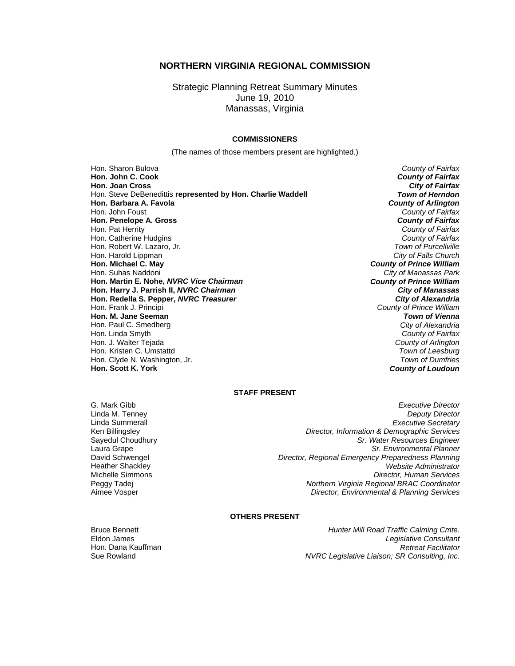## **NORTHERN VIRGINIA REGIONAL COMMISSION**

Strategic Planning Retreat Summary Minutes June 19, 2010 Manassas, Virginia

#### **COMMISSIONERS**

(The names of those members present are highlighted.)

Hon. Sharon Bulova *County of Fairfax* **Hon. John C. Cook** *County of Fairfax* **Hon. Joan Cross** *City of Fairfax* Hon. Steve DeBenedittis **represented by Hon. Charlie Waddell** *Town of Herndon* **Hon.** Barbara A. Favola Hon. John Foust *County of Fairfax* **Hon. Penelope A. Gross** *County of Fairfax* Hon. Pat Herrity *County of Fairfax* Hon. Catherine Hudgins *County of Fairfax* Hon. Robert W. Lazaro, Jr. *Town of Purcellville* Hon. Harold Lippman *City of Falls Church* **Hon. Michael C. May** *County of Prince William* Hon. Suhas Naddoni *City of Manassas Park* **Hon. Martin E. Nohe,** *NVRC Vice Chairman* **Hon. Harry J. Parrish II,** *NVRC Chairman City of Manassas* **Hon. Redella S. Pepper,** *NVRC Treasurer City of Alexandria* Hon. Frank J. Principi *County of Prince William* **Hon. M. Jane Seeman** *Town of Vienna* Hon. Paul C. Smedberg Hon. Linda Smyth *County of Fairfax* Hon. J. Walter Tejada *County of Arlington* Hon. Kristen C. Umstattd *Town of Leesburg* Hon. Clyde N. Washington, Jr.<br>**Hon. Scott K. York** 

**County of Loudoun** 

#### **STAFF PRESENT**

Linda M. Tenney<br>Linda Summerall

G. Mark Gibb *Executive Director* **Executive Secretary** Ken Billingsley *Director, Information & Demographic Services* Sayedul Choudhury *Sr. Water Resources Engineer* Laura Grape *Sr. Environmental Planner* **Director, Regional Emergency Preparedness Planning** Heather Shackley *Website Administrator* Michelle Simmons *Director, Human Services* Peggy Tadej *Northern Virginia Regional BRAC Coordinator* Aimee Vosper *Director, Environmental & Planning Services*

## **OTHERS PRESENT**

Bruce Bennett *Hunter Mill Road Traffic Calming Cmte.* Eldon James *Legislative Consultant* Hon. Dana Kauffman *Retreat Facilitator* NVRC Legislative Liaison; SR Consulting, Inc.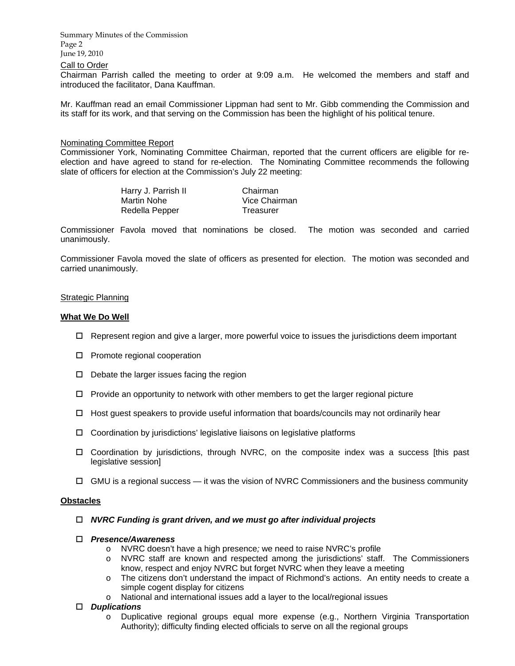Summary Minutes of the Commission Page 2 June 19, 2010

## Call to Order

Chairman Parrish called the meeting to order at 9:09 a.m. He welcomed the members and staff and introduced the facilitator, Dana Kauffman.

Mr. Kauffman read an email Commissioner Lippman had sent to Mr. Gibb commending the Commission and its staff for its work, and that serving on the Commission has been the highlight of his political tenure.

### Nominating Committee Report

Commissioner York, Nominating Committee Chairman, reported that the current officers are eligible for reelection and have agreed to stand for re-election. The Nominating Committee recommends the following slate of officers for election at the Commission's July 22 meeting:

| Harry J. Parrish II | Chairman      |
|---------------------|---------------|
| Martin Nohe         | Vice Chairman |
| Redella Pepper      | Treasurer     |

Commissioner Favola moved that nominations be closed. The motion was seconded and carried unanimously.

Commissioner Favola moved the slate of officers as presented for election. The motion was seconded and carried unanimously.

#### Strategic Planning

#### **What We Do Well**

- $\Box$  Represent region and give a larger, more powerful voice to issues the jurisdictions deem important
- □ Promote regional cooperation
- $\Box$  Debate the larger issues facing the region
- $\Box$  Provide an opportunity to network with other members to get the larger regional picture
- $\Box$  Host guest speakers to provide useful information that boards/councils may not ordinarily hear
- $\Box$  Coordination by jurisdictions' legislative liaisons on legislative platforms
- Coordination by jurisdictions, through NVRC, on the composite index was a success [this past legislative session]
- $\Box$  GMU is a regional success it was the vision of NVRC Commissioners and the business community

#### **Obstacles**

- *NVRC Funding is grant driven, and we must go after individual projects*
- *Presence/Awareness*
	- o NVRC doesn't have a high presence*;* we need to raise NVRC's profile
	- o NVRC staff are known and respected among the jurisdictions' staff. The Commissioners know, respect and enjoy NVRC but forget NVRC when they leave a meeting
	- o The citizens don't understand the impact of Richmond's actions. An entity needs to create a simple cogent display for citizens
	- o National and international issues add a layer to the local/regional issues

#### *Duplications*

o Duplicative regional groups equal more expense (e.g., Northern Virginia Transportation Authority); difficulty finding elected officials to serve on all the regional groups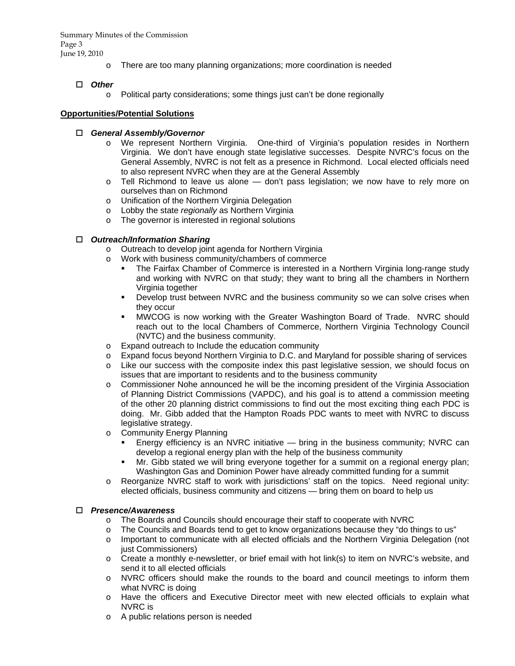Summary Minutes of the Commission Page 3 June 19, 2010

o There are too many planning organizations; more coordination is needed

# *Other*

o Political party considerations; some things just can't be done regionally

## **Opportunities/Potential Solutions**

## *General Assembly/Governor*

- o We represent Northern Virginia. One-third of Virginia's population resides in Northern Virginia. We don't have enough state legislative successes. Despite NVRC's focus on the General Assembly, NVRC is not felt as a presence in Richmond. Local elected officials need to also represent NVRC when they are at the General Assembly
- o Tell Richmond to leave us alone don't pass legislation; we now have to rely more on ourselves than on Richmond
- o Unification of the Northern Virginia Delegation
- o Lobby the state *regionally* as Northern Virginia
- o The governor is interested in regional solutions

# *Outreach/Information Sharing*

- o Outreach to develop joint agenda for Northern Virginia
- o Work with business community/chambers of commerce
	- The Fairfax Chamber of Commerce is interested in a Northern Virginia long-range study and working with NVRC on that study; they want to bring all the chambers in Northern Virginia together
	- Develop trust between NVRC and the business community so we can solve crises when they occur
	- MWCOG is now working with the Greater Washington Board of Trade. NVRC should reach out to the local Chambers of Commerce, Northern Virginia Technology Council (NVTC) and the business community.
- o Expand outreach to Include the education community
- o Expand focus beyond Northern Virginia to D.C. and Maryland for possible sharing of services
- o Like our success with the composite index this past legislative session, we should focus on issues that are important to residents and to the business community
- o Commissioner Nohe announced he will be the incoming president of the Virginia Association of Planning District Commissions (VAPDC), and his goal is to attend a commission meeting of the other 20 planning district commissions to find out the most exciting thing each PDC is doing. Mr. Gibb added that the Hampton Roads PDC wants to meet with NVRC to discuss legislative strategy.
- o Community Energy Planning
	- Energy efficiency is an NVRC initiative bring in the business community; NVRC can develop a regional energy plan with the help of the business community
	- Mr. Gibb stated we will bring everyone together for a summit on a regional energy plan; Washington Gas and Dominion Power have already committed funding for a summit
- o Reorganize NVRC staff to work with jurisdictions' staff on the topics. Need regional unity: elected officials, business community and citizens — bring them on board to help us

## *Presence/Awareness*

- o The Boards and Councils should encourage their staff to cooperate with NVRC
- o The Councils and Boards tend to get to know organizations because they "do things to us"
- o Important to communicate with all elected officials and the Northern Virginia Delegation (not just Commissioners)
- o Create a monthly e-newsletter, or brief email with hot link(s) to item on NVRC's website, and send it to all elected officials
- o NVRC officers should make the rounds to the board and council meetings to inform them what NVRC is doing
- o Have the officers and Executive Director meet with new elected officials to explain what NVRC is
- o A public relations person is needed